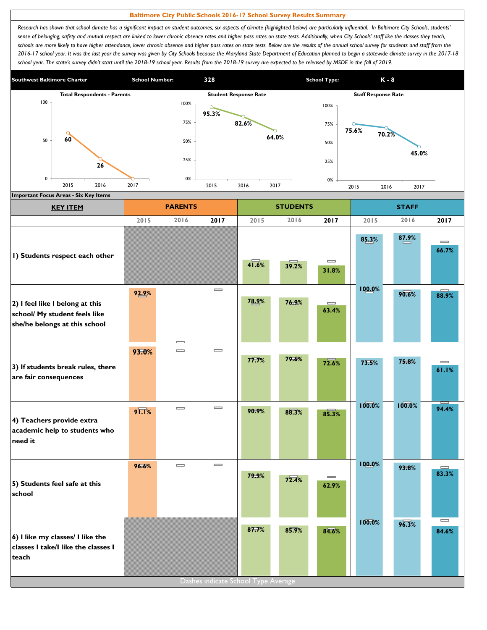## **Baltimore City Public Schools 2016-17 School Survey Results Summary**

Research has shown that school climate has a significant impact on student outcomes; six aspects of climate (highlighted below) are particularly influential. In Baltimore City Schools, students' sense of belonging, safety and mutual respect are linked to lower chronic absence rates and higher pass rates on state tests. Additionally, when City Schools' staff like the classes they teach, schools are more likely to have higher attendance, lower chronic absence and higher pass rates on state tests. Below are the results of the annual school survey for students and staff from the *2016-17 school year. It was the last year the survey was given by City Schools because the Maryland State Department of Education planned to begin a statewide climate survey in the 2017-18*  school year. The state's survey didn't start until the 2018-19 school year. Results from the 2018-19 survey are expected to be released by MSDE in the fall of 2019.



| <b>KEY ITEM</b>                                                                                   |                     | <b>PARENTS</b> |                              |       | <b>STUDENTS</b> |                            | <b>STAFF</b> |        |                                       |  |
|---------------------------------------------------------------------------------------------------|---------------------|----------------|------------------------------|-------|-----------------|----------------------------|--------------|--------|---------------------------------------|--|
|                                                                                                   | 2015                | 2016           | 2017                         | 2015  | 2016            | 2017                       | 2015         | 2016   | 2017                                  |  |
| I) Students respect each other                                                                    |                     |                |                              | 41.6% | 39.2%           | $\equiv$<br>31.8%          | 85.3%        | 87.9%  | $\equiv$<br>66.7%                     |  |
| 2) I feel like I belong at this<br>school/ My student feels like<br>she/he belongs at this school | 92.9%               |                | $\qquad \qquad \blacksquare$ | 78.9% | 76.9%           | $\qquad \qquad =$<br>63.4% | 100.0%       | 90.6%  | 88.9%                                 |  |
| 3) If students break rules, there<br>are fair consequences                                        | 93.0%               | $\equiv$       | $\qquad \qquad \blacksquare$ | 77.7% | 79.6%           | 72.6%                      | 73.5%        | 75.8%  | $\qquad \qquad \blacksquare$<br>61.1% |  |
| 4) Teachers provide extra<br>academic help to students who<br>need it                             | $9\overline{1.1}\%$ | $=$            | $\qquad \qquad \blacksquare$ | 90.9% | 88.3%           | 85.3%                      | 100.0%       | 100.0% | 94.4%                                 |  |
| 5) Students feel safe at this<br>school                                                           | 96.6%               | $\equiv$       | $\qquad \qquad \blacksquare$ | 79.9% | 72.4%           | $\equiv$<br>62.9%          | 100.0%       | 93.8%  | 83.3%                                 |  |
| 6) I like my classes/ I like the<br>classes I take/I like the classes I<br>teach                  |                     |                |                              | 87.7% | 85.9%           | 84.6%                      | 100.0%       | 96.3%  | $=$<br>84.6%                          |  |